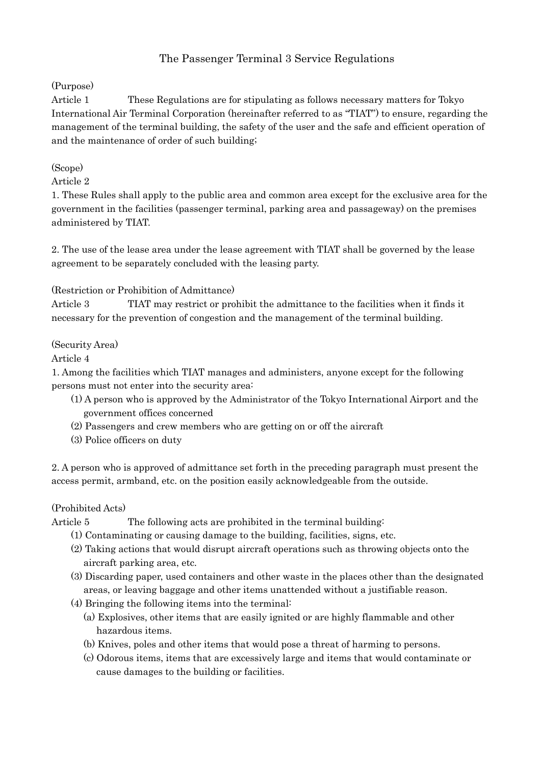# The Passenger Terminal 3 Service Regulations

# (Purpose)

Article 1 These Regulations are for stipulating as follows necessary matters for Tokyo International Air Terminal Corporation (hereinafter referred to as "TIAT") to ensure, regarding the management of the terminal building, the safety of the user and the safe and efficient operation of and the maintenance of order of such building;

# (Scope)

# Article 2

1. These Rules shall apply to the public area and common area except for the exclusive area for the government in the facilities (passenger terminal, parking area and passageway) on the premises administered by TIAT.

2. The use of the lease area under the lease agreement with TIAT shall be governed by the lease agreement to be separately concluded with the leasing party.

## (Restriction or Prohibition of Admittance)

Article 3 TIAT may restrict or prohibit the admittance to the facilities when it finds it necessary for the prevention of congestion and the management of the terminal building.

## (Security Area)

## Article 4

1. Among the facilities which TIAT manages and administers, anyone except for the following persons must not enter into the security area:

- (1) A person who is approved by the Administrator of the Tokyo International Airport and the government offices concerned
- (2) Passengers and crew members who are getting on or off the aircraft
- (3) Police officers on duty

2. A person who is approved of admittance set forth in the preceding paragraph must present the access permit, armband, etc. on the position easily acknowledgeable from the outside.

#### (Prohibited Acts)

Article 5 The following acts are prohibited in the terminal building:

- (1) Contaminating or causing damage to the building, facilities, signs, etc.
- (2) Taking actions that would disrupt aircraft operations such as throwing objects onto the aircraft parking area, etc.
- (3) Discarding paper, used containers and other waste in the places other than the designated areas, or leaving baggage and other items unattended without a justifiable reason.
- (4) Bringing the following items into the terminal:
	- (a) Explosives, other items that are easily ignited or are highly flammable and other hazardous items.
	- (b) Knives, poles and other items that would pose a threat of harming to persons.
	- (c) Odorous items, items that are excessively large and items that would contaminate or cause damages to the building or facilities.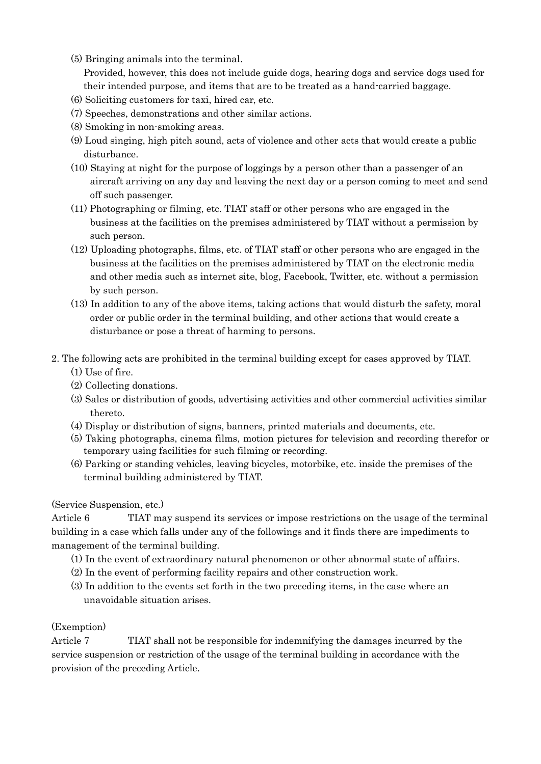- (5) Bringing animals into the terminal. Provided, however, this does not include guide dogs, hearing dogs and service dogs used for their intended purpose, and items that are to be treated as a hand-carried baggage.
- (6) Soliciting customers for taxi, hired car, etc.
- (7) Speeches, demonstrations and other similar actions.
- (8) Smoking in non-smoking areas.
- (9) Loud singing, high pitch sound, acts of violence and other acts that would create a public disturbance.
- (10) Staying at night for the purpose of loggings by a person other than a passenger of an aircraft arriving on any day and leaving the next day or a person coming to meet and send off such passenger.
- (11) Photographing or filming, etc. TIAT staff or other persons who are engaged in the business at the facilities on the premises administered by TIAT without a permission by such person.
- (12) Uploading photographs, films, etc. of TIAT staff or other persons who are engaged in the business at the facilities on the premises administered by TIAT on the electronic media and other media such as internet site, blog, Facebook, Twitter, etc. without a permission by such person.
- (13) In addition to any of the above items, taking actions that would disturb the safety, moral order or public order in the terminal building, and other actions that would create a disturbance or pose a threat of harming to persons.
- 2. The following acts are prohibited in the terminal building except for cases approved by TIAT.
	- (1) Use of fire.
	- (2) Collecting donations.
	- (3) Sales or distribution of goods, advertising activities and other commercial activities similar thereto.
	- (4) Display or distribution of signs, banners, printed materials and documents, etc.
	- (5) Taking photographs, cinema films, motion pictures for television and recording therefor or temporary using facilities for such filming or recording.
	- (6) Parking or standing vehicles, leaving bicycles, motorbike, etc. inside the premises of the terminal building administered by TIAT.

# (Service Suspension, etc.)

Article 6 TIAT may suspend its services or impose restrictions on the usage of the terminal building in a case which falls under any of the followings and it finds there are impediments to management of the terminal building.

- (1) In the event of extraordinary natural phenomenon or other abnormal state of affairs.
- (2) In the event of performing facility repairs and other construction work.
- (3) In addition to the events set forth in the two preceding items, in the case where an unavoidable situation arises.

#### (Exemption)

Article 7 TIAT shall not be responsible for indemnifying the damages incurred by the service suspension or restriction of the usage of the terminal building in accordance with the provision of the preceding Article.